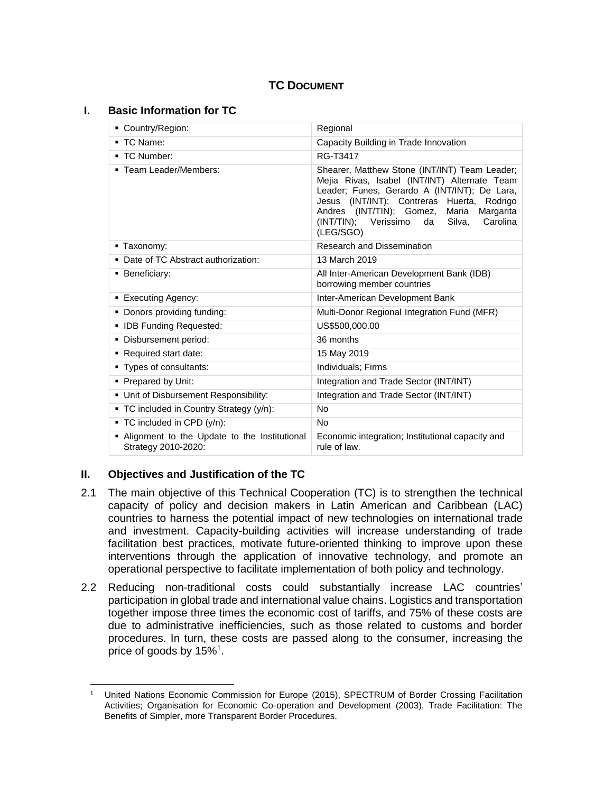# **TC DOCUMENT**

### **I. Basic Information for TC**

| ■ Country/Region:                                                     | Regional                                                                                                                                                                                                                                                                                                 |  |  |
|-----------------------------------------------------------------------|----------------------------------------------------------------------------------------------------------------------------------------------------------------------------------------------------------------------------------------------------------------------------------------------------------|--|--|
| ■ TC Name:                                                            | Capacity Building in Trade Innovation                                                                                                                                                                                                                                                                    |  |  |
| ■ TC Number:                                                          | RG-T3417                                                                                                                                                                                                                                                                                                 |  |  |
| ■ Team Leader/Members:                                                | Shearer, Matthew Stone (INT/INT) Team Leader;<br>Mejia Rivas, Isabel (INT/INT) Alternate Team<br>Leader; Funes, Gerardo A (INT/INT); De Lara,<br>Jesus (INT/INT); Contreras Huerta, Rodrigo<br>Andres (INT/TIN); Gomez, Maria Margarita<br>(INT/TIN); Verissimo<br>Silva,<br>Carolina<br>da<br>(LEG/SGO) |  |  |
| ■ Taxonomy:                                                           | Research and Dissemination                                                                                                                                                                                                                                                                               |  |  |
| • Date of TC Abstract authorization:                                  | 13 March 2019                                                                                                                                                                                                                                                                                            |  |  |
| ■ Beneficiary:                                                        | All Inter-American Development Bank (IDB)<br>borrowing member countries                                                                                                                                                                                                                                  |  |  |
| ■ Executing Agency:                                                   | Inter-American Development Bank                                                                                                                                                                                                                                                                          |  |  |
| • Donors providing funding:                                           | Multi-Donor Regional Integration Fund (MFR)                                                                                                                                                                                                                                                              |  |  |
| • IDB Funding Requested:                                              | US\$500,000.00                                                                                                                                                                                                                                                                                           |  |  |
| Disbursement period:                                                  | 36 months                                                                                                                                                                                                                                                                                                |  |  |
| Required start date:                                                  | 15 May 2019                                                                                                                                                                                                                                                                                              |  |  |
| • Types of consultants:                                               | Individuals; Firms                                                                                                                                                                                                                                                                                       |  |  |
| • Prepared by Unit:                                                   | Integration and Trade Sector (INT/INT)                                                                                                                                                                                                                                                                   |  |  |
| • Unit of Disbursement Responsibility:                                | Integration and Trade Sector (INT/INT)                                                                                                                                                                                                                                                                   |  |  |
| • TC included in Country Strategy (y/n):                              | No                                                                                                                                                                                                                                                                                                       |  |  |
| ■ TC included in CPD (y/n):                                           | <b>No</b>                                                                                                                                                                                                                                                                                                |  |  |
| . Alignment to the Update to the Institutional<br>Strategy 2010-2020: | Economic integration; Institutional capacity and<br>rule of law.                                                                                                                                                                                                                                         |  |  |

# **II. Objectives and Justification of the TC**

- 2.1 The main objective of this Technical Cooperation (TC) is to strengthen the technical capacity of policy and decision makers in Latin American and Caribbean (LAC) countries to harness the potential impact of new technologies on international trade and investment. Capacity-building activities will increase understanding of trade facilitation best practices, motivate future-oriented thinking to improve upon these interventions through the application of innovative technology, and promote an operational perspective to facilitate implementation of both policy and technology.
- 2.2 Reducing non-traditional costs could substantially increase LAC countries' participation in global trade and international value chains. Logistics and transportation together impose three times the economic cost of tariffs, and 75% of these costs are due to administrative inefficiencies, such as those related to customs and border procedures. In turn, these costs are passed along to the consumer, increasing the price of goods by 15%<sup>1</sup>.

 $\overline{\phantom{a}}$ <sup>1</sup> United Nations Economic Commission for Europe (2015), SPECTRUM of Border Crossing Facilitation Activities; Organisation for Economic Co-operation and Development (2003), Trade Facilitation: The Benefits of Simpler, more Transparent Border Procedures.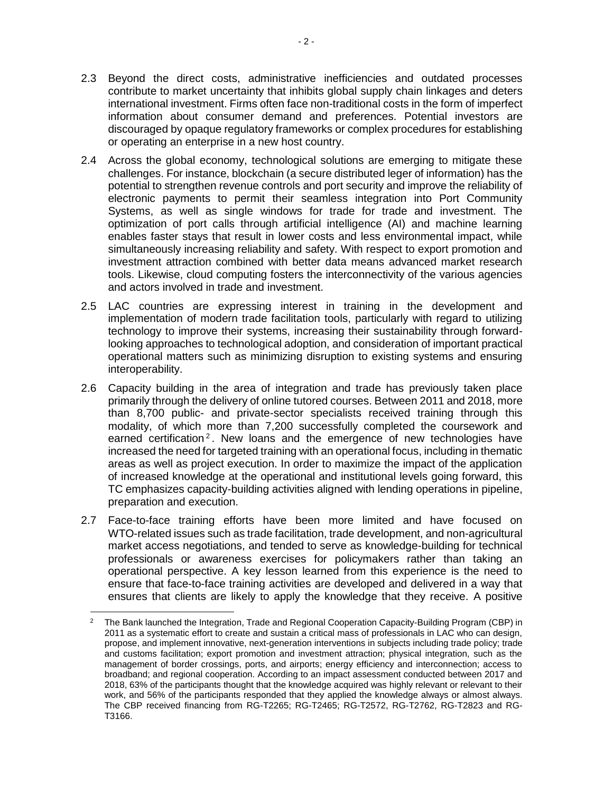- 2.3 Beyond the direct costs, administrative inefficiencies and outdated processes contribute to market uncertainty that inhibits global supply chain linkages and deters international investment. Firms often face non-traditional costs in the form of imperfect information about consumer demand and preferences. Potential investors are discouraged by opaque regulatory frameworks or complex procedures for establishing or operating an enterprise in a new host country.
- 2.4 Across the global economy, technological solutions are emerging to mitigate these challenges. For instance, blockchain (a secure distributed leger of information) has the potential to strengthen revenue controls and port security and improve the reliability of electronic payments to permit their seamless integration into Port Community Systems, as well as single windows for trade for trade and investment. The optimization of port calls through artificial intelligence (AI) and machine learning enables faster stays that result in lower costs and less environmental impact, while simultaneously increasing reliability and safety. With respect to export promotion and investment attraction combined with better data means advanced market research tools. Likewise, cloud computing fosters the interconnectivity of the various agencies and actors involved in trade and investment.
- 2.5 LAC countries are expressing interest in training in the development and implementation of modern trade facilitation tools, particularly with regard to utilizing technology to improve their systems, increasing their sustainability through forwardlooking approaches to technological adoption, and consideration of important practical operational matters such as minimizing disruption to existing systems and ensuring interoperability.
- 2.6 Capacity building in the area of integration and trade has previously taken place primarily through the delivery of online tutored courses. Between 2011 and 2018, more than 8,700 public- and private-sector specialists received training through this modality, of which more than 7,200 successfully completed the coursework and earned certification<sup>2</sup>. New loans and the emergence of new technologies have increased the need for targeted training with an operational focus, including in thematic areas as well as project execution. In order to maximize the impact of the application of increased knowledge at the operational and institutional levels going forward, this TC emphasizes capacity-building activities aligned with lending operations in pipeline, preparation and execution.
- 2.7 Face-to-face training efforts have been more limited and have focused on WTO-related issues such as trade facilitation, trade development, and non-agricultural market access negotiations, and tended to serve as knowledge-building for technical professionals or awareness exercises for policymakers rather than taking an operational perspective. A key lesson learned from this experience is the need to ensure that face-to-face training activities are developed and delivered in a way that ensures that clients are likely to apply the knowledge that they receive. A positive

 $\overline{2}$ <sup>2</sup> The Bank launched the Integration, Trade and Regional Cooperation Capacity-Building Program (CBP) in 2011 as a systematic effort to create and sustain a critical mass of professionals in LAC who can design, propose, and implement innovative, next-generation interventions in subjects including trade policy; trade and customs facilitation; export promotion and investment attraction; physical integration, such as the management of border crossings, ports, and airports; energy efficiency and interconnection; access to broadband; and regional cooperation. According to an impact assessment conducted between 2017 and 2018, 63% of the participants thought that the knowledge acquired was highly relevant or relevant to their work, and 56% of the participants responded that they applied the knowledge always or almost always. The CBP received financing from RG-T2265; RG-T2465; RG-T2572, RG-T2762, RG-T2823 and RG-T3166.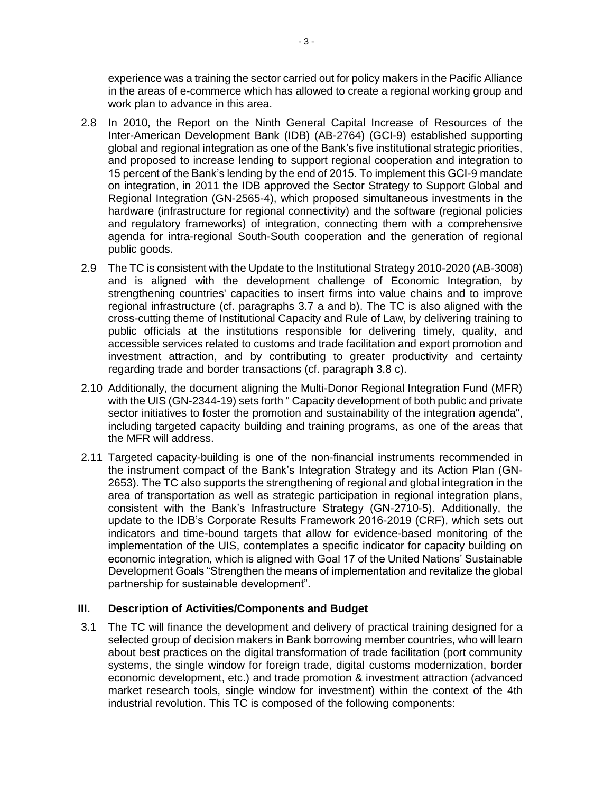experience was a training the sector carried out for policy makers in the Pacific Alliance in the areas of e-commerce which has allowed to create a regional working group and work plan to advance in this area.

- 2.8 In 2010, the Report on the Ninth General Capital Increase of Resources of the Inter-American Development Bank (IDB) (AB-2764) (GCI-9) established supporting global and regional integration as one of the Bank's five institutional strategic priorities, and proposed to increase lending to support regional cooperation and integration to 15 percent of the Bank's lending by the end of 2015. To implement this GCI-9 mandate on integration, in 2011 the IDB approved the Sector Strategy to Support Global and Regional Integration (GN-2565-4), which proposed simultaneous investments in the hardware (infrastructure for regional connectivity) and the software (regional policies and regulatory frameworks) of integration, connecting them with a comprehensive agenda for intra-regional South-South cooperation and the generation of regional public goods.
- 2.9 The TC is consistent with the Update to the Institutional Strategy 2010-2020 (AB-3008) and is aligned with the development challenge of Economic Integration, by strengthening countries' capacities to insert firms into value chains and to improve regional infrastructure (cf. paragraphs 3.7 a and b). The TC is also aligned with the cross-cutting theme of Institutional Capacity and Rule of Law, by delivering training to public officials at the institutions responsible for delivering timely, quality, and accessible services related to customs and trade facilitation and export promotion and investment attraction, and by contributing to greater productivity and certainty regarding trade and border transactions (cf. paragraph 3.8 c).
- 2.10 Additionally, the document aligning the Multi-Donor Regional Integration Fund (MFR) with the UIS (GN-2344-19) sets forth " Capacity development of both public and private sector initiatives to foster the promotion and sustainability of the integration agenda", including targeted capacity building and training programs, as one of the areas that the MFR will address.
- 2.11 Targeted capacity-building is one of the non-financial instruments recommended in the instrument compact of the Bank's Integration Strategy and its Action Plan (GN-2653). The TC also supports the strengthening of regional and global integration in the area of transportation as well as strategic participation in regional integration plans, consistent with the Bank's Infrastructure Strategy (GN-2710-5). Additionally, the update to the IDB's Corporate Results Framework 2016-2019 (CRF), which sets out indicators and time-bound targets that allow for evidence-based monitoring of the implementation of the UIS, contemplates a specific indicator for capacity building on economic integration, which is aligned with Goal 17 of the United Nations' Sustainable Development Goals "Strengthen the means of implementation and revitalize the global partnership for sustainable development".

# **III. Description of Activities/Components and Budget**

3.1 The TC will finance the development and delivery of practical training designed for a selected group of decision makers in Bank borrowing member countries, who will learn about best practices on the digital transformation of trade facilitation (port community systems, the single window for foreign trade, digital customs modernization, border economic development, etc.) and trade promotion & investment attraction (advanced market research tools, single window for investment) within the context of the 4th industrial revolution. This TC is composed of the following components: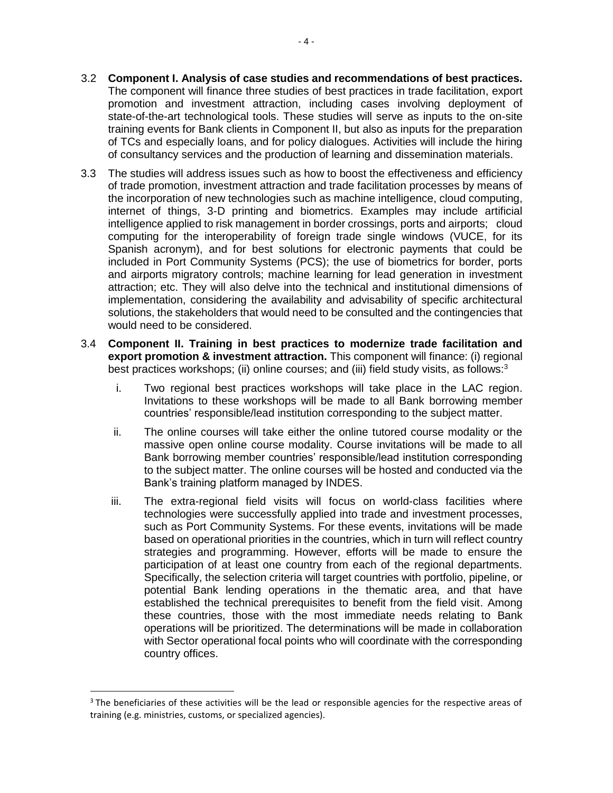- 3.2 **Component I. Analysis of case studies and recommendations of best practices.** The component will finance three studies of best practices in trade facilitation, export promotion and investment attraction, including cases involving deployment of state-of-the-art technological tools. These studies will serve as inputs to the on-site training events for Bank clients in Component II, but also as inputs for the preparation of TCs and especially loans, and for policy dialogues. Activities will include the hiring of consultancy services and the production of learning and dissemination materials.
- 3.3 The studies will address issues such as how to boost the effectiveness and efficiency of trade promotion, investment attraction and trade facilitation processes by means of the incorporation of new technologies such as machine intelligence, cloud computing, internet of things, 3-D printing and biometrics. Examples may include artificial intelligence applied to risk management in border crossings, ports and airports; cloud computing for the interoperability of foreign trade single windows (VUCE, for its Spanish acronym), and for best solutions for electronic payments that could be included in Port Community Systems (PCS); the use of biometrics for border, ports and airports migratory controls; machine learning for lead generation in investment attraction; etc. They will also delve into the technical and institutional dimensions of implementation, considering the availability and advisability of specific architectural solutions, the stakeholders that would need to be consulted and the contingencies that would need to be considered.
- 3.4 **Component II. Training in best practices to modernize trade facilitation and export promotion & investment attraction.** This component will finance: (i) regional best practices workshops; (ii) online courses; and (iii) field study visits, as follows:<sup>3</sup>
	- i. Two regional best practices workshops will take place in the LAC region. Invitations to these workshops will be made to all Bank borrowing member countries' responsible/lead institution corresponding to the subject matter.
	- ii. The online courses will take either the online tutored course modality or the massive open online course modality. Course invitations will be made to all Bank borrowing member countries' responsible/lead institution corresponding to the subject matter. The online courses will be hosted and conducted via the Bank's training platform managed by INDES.
	- iii. The extra-regional field visits will focus on world-class facilities where technologies were successfully applied into trade and investment processes, such as Port Community Systems. For these events, invitations will be made based on operational priorities in the countries, which in turn will reflect country strategies and programming. However, efforts will be made to ensure the participation of at least one country from each of the regional departments. Specifically, the selection criteria will target countries with portfolio, pipeline, or potential Bank lending operations in the thematic area, and that have established the technical prerequisites to benefit from the field visit. Among these countries, those with the most immediate needs relating to Bank operations will be prioritized. The determinations will be made in collaboration with Sector operational focal points who will coordinate with the corresponding country offices.

 $\overline{\phantom{a}}$ 

 $3$  The beneficiaries of these activities will be the lead or responsible agencies for the respective areas of training (e.g. ministries, customs, or specialized agencies).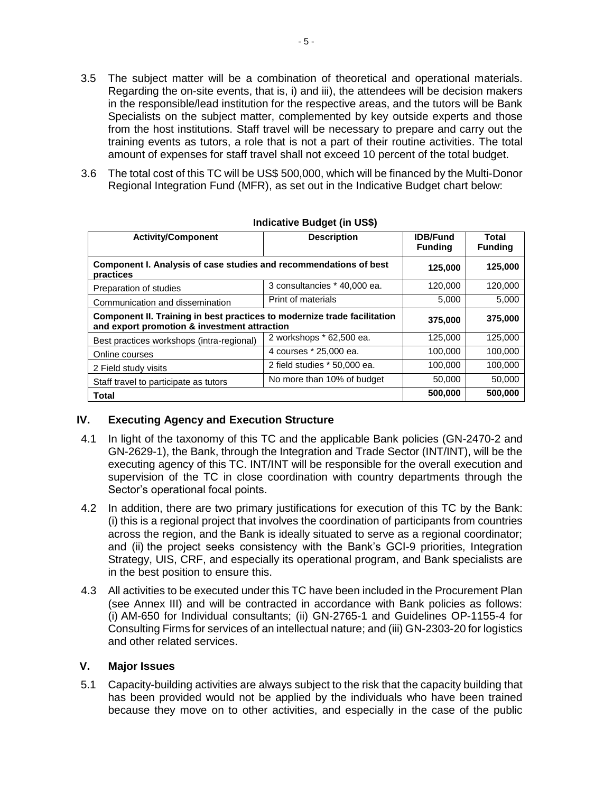- 3.5 The subject matter will be a combination of theoretical and operational materials. Regarding the on-site events, that is, i) and iii), the attendees will be decision makers in the responsible/lead institution for the respective areas, and the tutors will be Bank Specialists on the subject matter, complemented by key outside experts and those from the host institutions. Staff travel will be necessary to prepare and carry out the training events as tutors, a role that is not a part of their routine activities. The total amount of expenses for staff travel shall not exceed 10 percent of the total budget.
- 3.6 The total cost of this TC will be US\$ 500,000, which will be financed by the Multi-Donor Regional Integration Fund (MFR), as set out in the Indicative Budget chart below:

| <b>Activity/Component</b>                                                                                                | <b>Description</b>           | <b>IDB/Fund</b><br><b>Funding</b> | Total<br><b>Funding</b> |
|--------------------------------------------------------------------------------------------------------------------------|------------------------------|-----------------------------------|-------------------------|
| Component I. Analysis of case studies and recommendations of best<br>practices                                           |                              | 125,000                           | 125,000                 |
| Preparation of studies                                                                                                   | 3 consultancies * 40,000 ea. | 120,000                           | 120,000                 |
| Communication and dissemination                                                                                          | Print of materials           | 5,000                             | 5,000                   |
| Component II. Training in best practices to modernize trade facilitation<br>and export promotion & investment attraction |                              | 375,000                           | 375,000                 |
| Best practices workshops (intra-regional)                                                                                | 2 workshops * 62,500 ea.     | 125,000                           | 125,000                 |
| Online courses                                                                                                           | 4 courses * 25,000 ea.       | 100,000                           | 100.000                 |
| 2 Field study visits                                                                                                     | 2 field studies * 50,000 ea. | 100,000                           | 100,000                 |
| Staff travel to participate as tutors                                                                                    | No more than 10% of budget   | 50,000                            | 50,000                  |
| <b>Total</b>                                                                                                             |                              | 500,000                           | 500.000                 |

#### **Indicative Budget (in US\$)**

# **IV. Executing Agency and Execution Structure**

- 4.1 In light of the taxonomy of this TC and the applicable Bank policies (GN-2470-2 and GN-2629-1), the Bank, through the Integration and Trade Sector (INT/INT), will be the executing agency of this TC. INT/INT will be responsible for the overall execution and supervision of the TC in close coordination with country departments through the Sector's operational focal points.
- 4.2 In addition, there are two primary justifications for execution of this TC by the Bank: (i) this is a regional project that involves the coordination of participants from countries across the region, and the Bank is ideally situated to serve as a regional coordinator; and (ii) the project seeks consistency with the Bank's GCI-9 priorities, Integration Strategy, UIS, CRF, and especially its operational program, and Bank specialists are in the best position to ensure this.
- 4.3 All activities to be executed under this TC have been included in the Procurement Plan (see Annex III) and will be contracted in accordance with Bank policies as follows: (i) AM-650 for Individual consultants; (ii) GN-2765-1 and Guidelines OP-1155-4 for Consulting Firms for services of an intellectual nature; and (iii) GN-2303-20 for logistics and other related services.

#### **V. Major Issues**

5.1 Capacity-building activities are always subject to the risk that the capacity building that has been provided would not be applied by the individuals who have been trained because they move on to other activities, and especially in the case of the public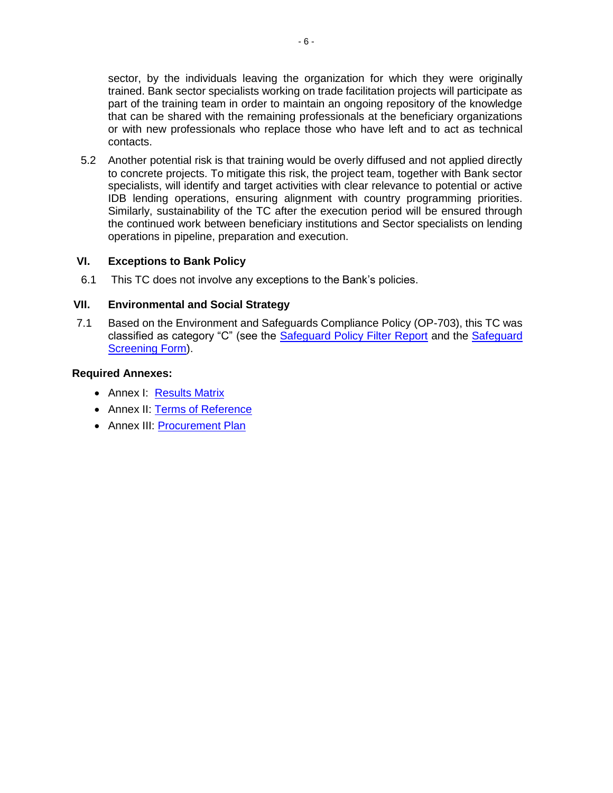sector, by the individuals leaving the organization for which they were originally trained. Bank sector specialists working on trade facilitation projects will participate as part of the training team in order to maintain an ongoing repository of the knowledge that can be shared with the remaining professionals at the beneficiary organizations or with new professionals who replace those who have left and to act as technical contacts.

5.2 Another potential risk is that training would be overly diffused and not applied directly to concrete projects. To mitigate this risk, the project team, together with Bank sector specialists, will identify and target activities with clear relevance to potential or active IDB lending operations, ensuring alignment with country programming priorities. Similarly, sustainability of the TC after the execution period will be ensured through the continued work between beneficiary institutions and Sector specialists on lending operations in pipeline, preparation and execution.

### **VI. Exceptions to Bank Policy**

6.1 This TC does not involve any exceptions to the Bank's policies.

### **VII. Environmental and Social Strategy**

7.1 Based on the Environment and Safeguards Compliance Policy (OP-703), this TC was classified as category "C" (see the [Safeguard Policy Filter Report](http://idbdocs.iadb.org/wsdocs/getDocument.aspx?DOCNUM=EZSHARE-671801653-2) and the [Safeguard](http://idbdocs.iadb.org/wsdocs/getDocument.aspx?DOCNUM=EZSHARE-671801653-3)  [Screening Form\)](http://idbdocs.iadb.org/wsdocs/getDocument.aspx?DOCNUM=EZSHARE-671801653-3).

#### **Required Annexes:**

- Annex I: [Results Matrix](http://idbdocs.iadb.org/wsdocs/getDocument.aspx?DOCNUM=EZSHARE-1566048952-1)
- Annex II: [Terms of Reference](http://idbdocs.iadb.org/wsdocs/getDocument.aspx?DOCNUM=EZSHARE-1799858595-2)
- Annex III: [Procurement Plan](http://idbdocs.iadb.org/wsdocs/getDocument.aspx?DOCNUM=EZSHARE-1799858595-3)